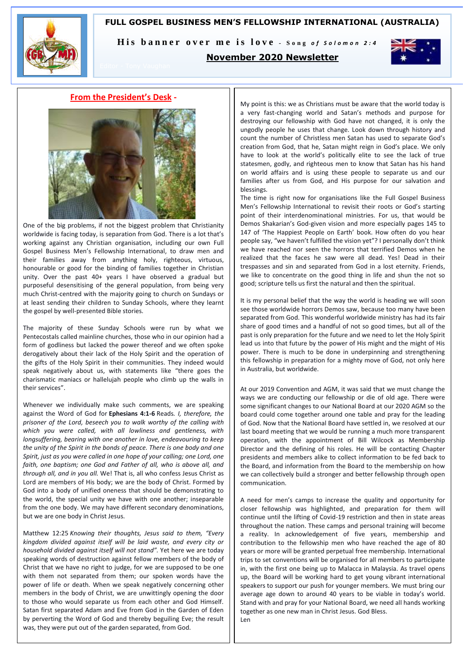# **FULL GOSPEL BUSINESS MEN'S FELLOWSHIP INTERNATIONAL (AUSTRALIA)**



His banner over me is love - Song of Solomon 2:4

# **November 2020 Newsletter**



# **From the President's Desk -**



One of the big problems, if not the biggest problem that Christianity worldwide is facing today, is separation from God. There is a lot that's working against any Christian organisation, including our own Full Gospel Business Men's Fellowship International, to draw men and their families away from anything holy, righteous, virtuous, honourable or good for the binding of families together in Christian unity. Over the past 40+ years I have observed a gradual but purposeful desensitising of the general population, from being very much Christ-centred with the majority going to church on Sundays or at least sending their children to Sunday Schools, where they learnt the gospel by well-presented Bible stories.

The majority of these Sunday Schools were run by what we Pentecostals called mainline churches, those who in our opinion had a form of godliness but lacked the power thereof and we often spoke derogatively about their lack of the Holy Spirit and the operation of the gifts of the Holy Spirit in their communities. They indeed would speak negatively about us, with statements like "there goes the charismatic maniacs or hallelujah people who climb up the walls in their services".

Whenever we individually make such comments, we are speaking against the Word of God for **Ephesians 4:1-6** Reads*. I, therefore, the prisoner of the Lord, beseech you to walk worthy of the calling with which you were called, with all lowliness and gentleness, with longsuffering, bearing with one another in love, endeavouring to keep the unity of the Spirit in the bonds of peace. There is one body and one Spirit, just as you were called in one hope of your calling; one Lord, one faith, one baptism; one God and Father of all, who is above all, and through all, and in you all.* We! That is, all who confess Jesus Christ as Lord are members of His body; we are the body of Christ. Formed by God into a body of unified oneness that should be demonstrating to the world, the special unity we have with one another; inseparable from the one body. We may have different secondary denominations, but we are one body in Christ Jesus.

Matthew 12:25 *Knowing their thoughts, Jesus said to them, "Every kingdom divided against itself will be laid waste, and every city or household divided against itself will not stand".* Yet here we are today speaking words of destruction against fellow members of the body of Christ that we have no right to judge, for we are supposed to be one with them not separated from them; our spoken words have the power of life or death. When we speak negatively concerning other members in the body of Christ, we are unwittingly opening the door to those who would separate us from each other and God Himself. Satan first separated Adam and Eve from God in the Garden of Eden by perverting the Word of God and thereby beguiling Eve; the result was, they were put out of the garden separated, from God.

My point is this: we as Christians must be aware that the world today is a very fast-changing world and Satan's methods and purpose for destroying our fellowship with God have not changed, it is only the ungodly people he uses that change. Look down through history and count the number of Christless men Satan has used to separate God's creation from God, that he, Satan might reign in God's place. We only have to look at the world's politically elite to see the lack of true statesmen, godly, and righteous men to know that Satan has his hand on world affairs and is using these people to separate us and our families after us from God, and His purpose for our salvation and blessings.

The time is right now for organisations like the Full Gospel Business Men's Fellowship International to revisit their roots or God's starting point of their interdenominational ministries. For us, that would be Demos Shakarian's God-given vision and more especially pages 145 to 147 of 'The Happiest People on Earth' book. How often do you hear people say, "we haven't fulfilled the vision yet"? I personally don't think we have reached nor seen the horrors that terrified Demos when he realized that the faces he saw were all dead. Yes! Dead in their trespasses and sin and separated from God in a lost eternity. Friends, we like to concentrate on the good thing in life and shun the not so good; scripture tells us first the natural and then the spiritual.

It is my personal belief that the way the world is heading we will soon see those worldwide horrors Demos saw, because too many have been separated from God. This wonderful worldwide ministry has had its fair share of good times and a handful of not so good times, but all of the past is only preparation for the future and we need to let the Holy Spirit lead us into that future by the power of His might and the might of His power. There is much to be done in underpinning and strengthening this fellowship in preparation for a mighty move of God, not only here in Australia, but worldwide.

At our 2019 Convention and AGM, it was said that we must change the ways we are conducting our fellowship or die of old age. There were some significant changes to our National Board at our 2020 AGM so the board could come together around one table and pray for the leading of God. Now that the National Board have settled in, we resolved at our last board meeting that we would be running a much more transparent operation, with the appointment of Bill Wilcock as Membership Director and the defining of his roles. He will be contacting Chapter presidents and members alike to collect information to be fed back to the Board, and information from the Board to the membership on how we can collectively build a stronger and better fellowship through open communication.

A need for men's camps to increase the quality and opportunity for closer fellowship was highlighted, and preparation for them will continue until the lifting of Covid-19 restriction and then in state areas throughout the nation. These camps and personal training will become a reality. In acknowledgement of five years, membership and contribution to the fellowship men who have reached the age of 80 years or more will be granted perpetual free membership. International trips to set conventions will be organised for all members to participate in, with the first one being up to Malacca in Malaysia. As travel opens up, the Board will be working hard to get young vibrant international speakers to support our push for younger members. We must bring our average age down to around 40 years to be viable in today's world. Stand with and pray for your National Board, we need all hands working together as one new man in Christ Jesus. God Bless. Len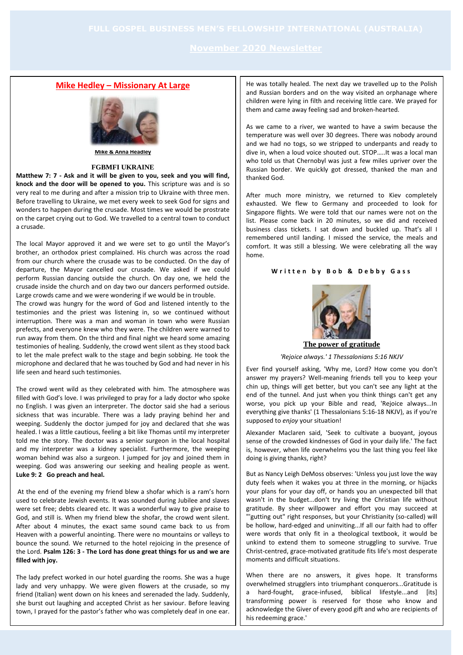# **Mike Hedley – Missionary At Large**



**Mike & Anna Headley**

### **FGBMFI UKRAINE**

**Matthew 7: 7 - Ask and it will be given to you, seek and you will find, knock and the door will be opened to you.** This scripture was and is so very real to me during and after a mission trip to Ukraine with three men. Before travelling to Ukraine, we met every week to seek God for signs and wonders to happen during the crusade. Most times we would be prostrate on the carpet crying out to God. We travelled to a central town to conduct a crusade.

The local Mayor approved it and we were set to go until the Mayor's brother, an orthodox priest complained. His church was across the road from our church where the crusade was to be conducted. On the day of departure, the Mayor cancelled our crusade. We asked if we could perform Russian dancing outside the church. On day one, we held the crusade inside the church and on day two our dancers performed outside. Large crowds came and we were wondering if we would be in trouble.

The crowd was hungry for the word of God and listened intently to the testimonies and the priest was listening in, so we continued without interruption. There was a man and woman in town who were Russian prefects, and everyone knew who they were. The children were warned to run away from them. On the third and final night we heard some amazing testimonies of healing. Suddenly, the crowd went silent as they stood back to let the male prefect walk to the stage and begin sobbing. He took the microphone and declared that he was touched by God and had never in his life seen and heard such testimonies.

The crowd went wild as they celebrated with him. The atmosphere was filled with God's love. I was privileged to pray for a lady doctor who spoke no English. I was given an interpreter. The doctor said she had a serious sickness that was incurable. There was a lady praying behind her and weeping. Suddenly the doctor jumped for joy and declared that she was healed. I was a little cautious, feeling a bit like Thomas until my interpreter told me the story. The doctor was a senior surgeon in the local hospital and my interpreter was a kidney specialist. Furthermore, the weeping woman behind was also a surgeon. I jumped for joy and joined them in weeping. God was answering our seeking and healing people as went. **Luke 9: 2 Go preach and heal.**

At the end of the evening my friend blew a shofar which is a ram's horn used to celebrate Jewish events. It was sounded during Jubilee and slaves were set free; debts cleared etc. It was a wonderful way to give praise to God, and still is. When my friend blew the shofar, the crowd went silent. After about 4 minutes, the exact same sound came back to us from Heaven with a powerful anointing. There were no mountains or valleys to bounce the sound. We returned to the hotel rejoicing in the presence of the Lord. **Psalm 126: 3 - The Lord has done great things for us and we are filled with joy.**

The lady prefect worked in our hotel guarding the rooms. She was a huge lady and very unhappy. We were given flowers at the crusade, so my friend (Italian) went down on his knees and serenaded the lady. Suddenly, she burst out laughing and accepted Christ as her saviour. Before leaving town, I prayed for the pastor's father who was completely deaf in one ear.

He was totally healed. The next day we travelled up to the Polish and Russian borders and on the way visited an orphanage where children were lying in filth and receiving little care. We prayed for them and came away feeling sad and broken-hearted.

As we came to a river, we wanted to have a swim because the temperature was well over 30 degrees. There was nobody around and we had no togs, so we stripped to underpants and ready to dive in, when a loud voice shouted out. STOP…..It was a local man who told us that Chernobyl was just a few miles upriver over the Russian border. We quickly got dressed, thanked the man and thanked God.

After much more ministry, we returned to Kiev completely exhausted. We flew to Germany and proceeded to look for Singapore flights. We were told that our names were not on the list. Please come back in 20 minutes, so we did and received business class tickets. I sat down and buckled up. That's all I remembered until landing. I missed the service, the meals and comfort. It was still a blessing. We were celebrating all the way home.

## **W r i t t e n b y B o b & D e b b y G a s s**



*'Rejoice always.' 1 Thessalonians 5:16 NKJV*

Ever find yourself asking, 'Why me, Lord? How come you don't answer my prayers? Well-meaning friends tell you to keep your chin up, things will get better, but you can't see any light at the end of the tunnel. And just when you think things can't get any worse, you pick up your Bible and read, 'Rejoice always...In everything give thanks' (1 Thessalonians 5:16-18 NKJV), as if you're supposed to *enjoy* your situation!

Alexander Maclaren said, 'Seek to cultivate a buoyant, joyous sense of the crowded kindnesses of God in your daily life.' The fact is, however, when life overwhelms you the last thing you feel like doing is giving thanks, right?

But as Nancy Leigh DeMoss observes: 'Unless you just love the way duty feels when it wakes you at three in the morning, or hijacks your plans for your day off, or hands you an unexpected bill that wasn't in the budget...don't try living the Christian life without gratitude. By sheer willpower and effort you may succeed at "'gutting out" right responses, but your Christianity (so-called) will be hollow, hard-edged and uninviting...If all our faith had to offer were words that only fit in a theological textbook, it would be unkind to extend them to someone struggling to survive. True Christ-centred, grace-motivated gratitude fits life's most desperate moments and difficult situations.

When there are no answers, it gives hope. It transforms overwhelmed strugglers into triumphant conquerors...Gratitude is a hard-fought, grace-infused, biblical lifestyle...and [its] transforming power is reserved for those who know and acknowledge the Giver of every good gift and who are recipients of his redeeming grace.'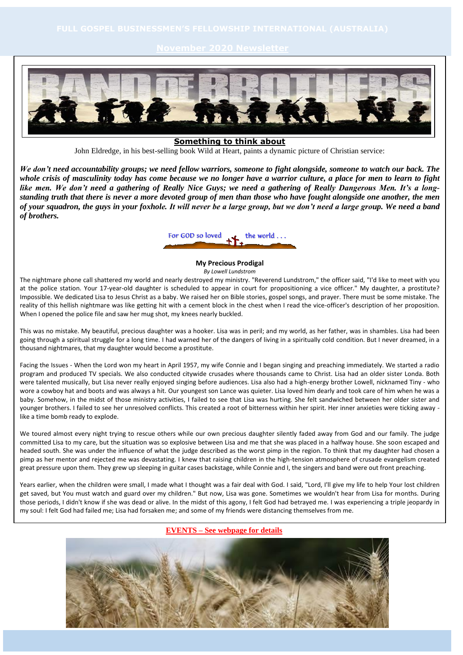

**Something to think about**

John Eldredge, in his best-selling book Wild at Heart, paints a dynamic picture of Christian service:

*We don't need accountability groups; we need fellow warriors, someone to fight alongside, someone to watch our back. The whole crisis of masculinity today has come because we no longer have a warrior culture, a place for men to learn to fight like men. We don't need a gathering of Really Nice Guys; we need a gathering of Really Dangerous Men. It's a longstanding truth that there is never a more devoted group of men than those who have fought alongside one another, the men of your squadron, the guys in your foxhole. It will never be a large group, but we don't need a large group. We need a band of brothers.*



**My Precious Prodigal** *By Lowell Lundstrom*

The nightmare phone call shattered my world and nearly destroyed my ministry. "Reverend Lundstrom," the officer said, "I'd like to meet with you at the police station. Your 17-year-old daughter is scheduled to appear in court for propositioning a vice officer." My daughter, a prostitute? Impossible. We dedicated Lisa to Jesus Christ as a baby. We raised her on Bible stories, gospel songs, and prayer. There must be some mistake. The reality of this hellish nightmare was like getting hit with a cement block in the chest when I read the vice-officer's description of her proposition. When I opened the police file and saw her mug shot, my knees nearly buckled.

This was no mistake. My beautiful, precious daughter was a hooker. Lisa was in peril; and my world, as her father, was in shambles. Lisa had been going through a spiritual struggle for a long time. I had warned her of the dangers of living in a spiritually cold condition. But I never dreamed, in a thousand nightmares, that my daughter would become a prostitute.

Facing the Issues - When the Lord won my heart in April 1957, my wife Connie and I began singing and preaching immediately. We started a radio program and produced TV specials. We also conducted citywide crusades where thousands came to Christ. Lisa had an older sister Londa. Both were talented musically, but Lisa never really enjoyed singing before audiences. Lisa also had a high-energy brother Lowell, nicknamed Tiny - who wore a cowboy hat and boots and was always a hit. Our youngest son Lance was quieter. Lisa loved him dearly and took care of him when he was a baby. Somehow, in the midst of those ministry activities, I failed to see that Lisa was hurting. She felt sandwiched between her older sister and younger brothers. I failed to see her unresolved conflicts. This created a root of bitterness within her spirit. Her inner anxieties were ticking away like a time bomb ready to explode.

We toured almost every night trying to rescue others while our own precious daughter silently faded away from God and our family. The judge committed Lisa to my care, but the situation was so explosive between Lisa and me that she was placed in a halfway house. She soon escaped and headed south. She was under the influence of what the judge described as the worst pimp in the region. To think that my daughter had chosen a pimp as her mentor and rejected me was devastating. I knew that raising children in the high-tension atmosphere of crusade evangelism created great pressure upon them. They grew up sleeping in guitar cases backstage, while Connie and I, the singers and band were out front preaching.

Years earlier, when the children were small, I made what I thought was a fair deal with God. I said, "Lord, I'll give my life to help Your lost children get saved, but You must watch and guard over my children." But now, Lisa was gone. Sometimes we wouldn't hear from Lisa for months. During those periods, I didn't know if she was dead or alive. In the midst of this agony, I felt God had betrayed me. I was experiencing a triple jeopardy in my soul: I felt God had failed me; Lisa had forsaken me; and some of my friends were distancing themselves from me.

### **EVENTS – See webpage for details**